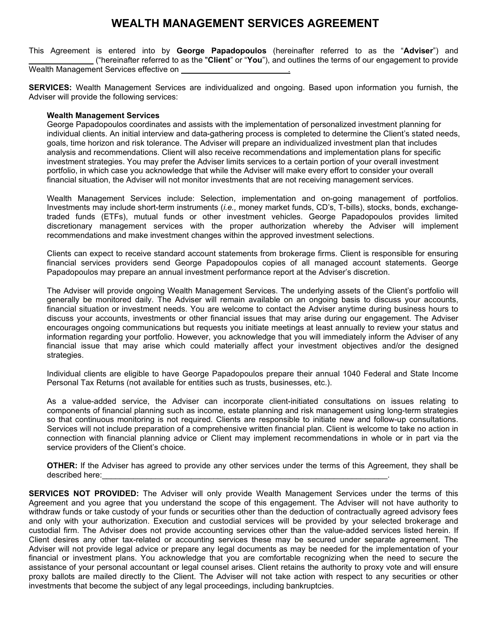## **WEALTH MANAGEMENT SERVICES AGREEMENT**

This Agreement is entered into by **George Papadopoulos** (hereinafter referred to as the "**Adviser**") and \_\_\_\_\_\_\_\_\_\_\_\_\_\_ ("hereinafter referred to as the "**Client**" or "**You**"), and outlines the terms of our engagement to provide Wealth Management Services effective on .

**SERVICES:** Wealth Management Services are individualized and ongoing. Based upon information you furnish, the Adviser will provide the following services:

## **Wealth Management Services**

George Papadopoulos coordinates and assists with the implementation of personalized investment planning for individual clients. An initial interview and data-gathering process is completed to determine the Client's stated needs, goals, time horizon and risk tolerance. The Adviser will prepare an individualized investment plan that includes analysis and recommendations. Client will also receive recommendations and implementation plans for specific investment strategies. You may prefer the Adviser limits services to a certain portion of your overall investment portfolio, in which case you acknowledge that while the Adviser will make every effort to consider your overall financial situation, the Adviser will not monitor investments that are not receiving management services.

Wealth Management Services include: Selection, implementation and on-going management of portfolios. Investments may include short-term instruments (*i.e.,* money market funds, CD's, T-bills), stocks, bonds, exchangetraded funds (ETFs), mutual funds or other investment vehicles. George Papadopoulos provides limited discretionary management services with the proper authorization whereby the Adviser will implement recommendations and make investment changes within the approved investment selections.

Clients can expect to receive standard account statements from brokerage firms. Client is responsible for ensuring financial services providers send George Papadopoulos copies of all managed account statements. George Papadopoulos may prepare an annual investment performance report at the Adviser's discretion.

The Adviser will provide ongoing Wealth Management Services. The underlying assets of the Client's portfolio will generally be monitored daily. The Adviser will remain available on an ongoing basis to discuss your accounts, financial situation or investment needs. You are welcome to contact the Adviser anytime during business hours to discuss your accounts, investments or other financial issues that may arise during our engagement. The Adviser encourages ongoing communications but requests you initiate meetings at least annually to review your status and information regarding your portfolio. However, you acknowledge that you will immediately inform the Adviser of any financial issue that may arise which could materially affect your investment objectives and/or the designed strategies.

Individual clients are eligible to have George Papadopoulos prepare their annual 1040 Federal and State Income Personal Tax Returns (not available for entities such as trusts, businesses, etc.).

As a value-added service, the Adviser can incorporate client-initiated consultations on issues relating to components of financial planning such as income, estate planning and risk management using long-term strategies so that continuous monitoring is not required. Clients are responsible to initiate new and follow-up consultations. Services will not include preparation of a comprehensive written financial plan. Client is welcome to take no action in connection with financial planning advice or Client may implement recommendations in whole or in part via the service providers of the Client's choice.

**OTHER:** If the Adviser has agreed to provide any other services under the terms of this Agreement, they shall be described here:

**SERVICES NOT PROVIDED:** The Adviser will only provide Wealth Management Services under the terms of this Agreement and you agree that you understand the scope of this engagement. The Adviser will not have authority to withdraw funds or take custody of your funds or securities other than the deduction of contractually agreed advisory fees and only with your authorization. Execution and custodial services will be provided by your selected brokerage and custodial firm. The Adviser does not provide accounting services other than the value-added services listed herein. If Client desires any other tax-related or accounting services these may be secured under separate agreement. The Adviser will not provide legal advice or prepare any legal documents as may be needed for the implementation of your financial or investment plans. You acknowledge that you are comfortable recognizing when the need to secure the assistance of your personal accountant or legal counsel arises. Client retains the authority to proxy vote and will ensure proxy ballots are mailed directly to the Client. The Adviser will not take action with respect to any securities or other investments that become the subject of any legal proceedings, including bankruptcies.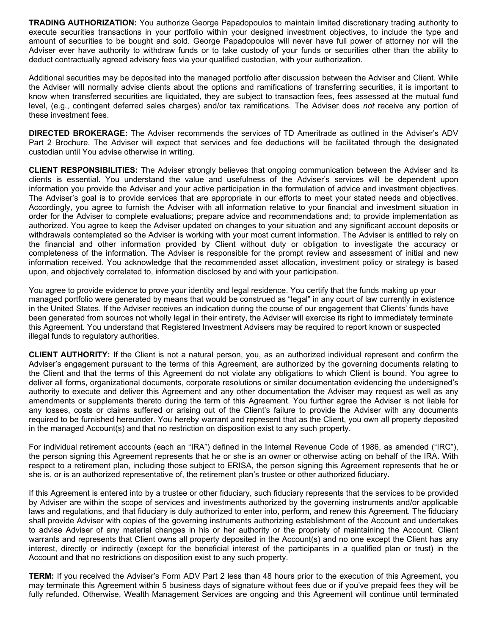**TRADING AUTHORIZATION:** You authorize George Papadopoulos to maintain limited discretionary trading authority to execute securities transactions in your portfolio within your designed investment objectives, to include the type and amount of securities to be bought and sold. George Papadopoulos will never have full power of attorney nor will the Adviser ever have authority to withdraw funds or to take custody of your funds or securities other than the ability to deduct contractually agreed advisory fees via your qualified custodian, with your authorization.

Additional securities may be deposited into the managed portfolio after discussion between the Adviser and Client. While the Adviser will normally advise clients about the options and ramifications of transferring securities, it is important to know when transferred securities are liquidated, they are subject to transaction fees, fees assessed at the mutual fund level, (e.g., contingent deferred sales charges) and/or tax ramifications. The Adviser does *not* receive any portion of these investment fees.

**DIRECTED BROKERAGE:** The Adviser recommends the services of TD Ameritrade as outlined in the Adviser's ADV Part 2 Brochure. The Adviser will expect that services and fee deductions will be facilitated through the designated custodian until You advise otherwise in writing.

**CLIENT RESPONSIBILITIES:** The Adviser strongly believes that ongoing communication between the Adviser and its clients is essential. You understand the value and usefulness of the Adviser's services will be dependent upon information you provide the Adviser and your active participation in the formulation of advice and investment objectives. The Adviser's goal is to provide services that are appropriate in our efforts to meet your stated needs and objectives. Accordingly, you agree to furnish the Adviser with all information relative to your financial and investment situation in order for the Adviser to complete evaluations; prepare advice and recommendations and; to provide implementation as authorized. You agree to keep the Adviser updated on changes to your situation and any significant account deposits or withdrawals contemplated so the Adviser is working with your most current information. The Adviser is entitled to rely on the financial and other information provided by Client without duty or obligation to investigate the accuracy or completeness of the information. The Adviser is responsible for the prompt review and assessment of initial and new information received. You acknowledge that the recommended asset allocation, investment policy or strategy is based upon, and objectively correlated to, information disclosed by and with your participation.

You agree to provide evidence to prove your identity and legal residence. You certify that the funds making up your managed portfolio were generated by means that would be construed as "legal" in any court of law currently in existence in the United States. If the Adviser receives an indication during the course of our engagement that Clients' funds have been generated from sources not wholly legal in their entirety, the Adviser will exercise its right to immediately terminate this Agreement. You understand that Registered Investment Advisers may be required to report known or suspected illegal funds to regulatory authorities.

**CLIENT AUTHORITY:** If the Client is not a natural person, you, as an authorized individual represent and confirm the Adviser's engagement pursuant to the terms of this Agreement, are authorized by the governing documents relating to the Client and that the terms of this Agreement do not violate any obligations to which Client is bound. You agree to deliver all forms, organizational documents, corporate resolutions or similar documentation evidencing the undersigned's authority to execute and deliver this Agreement and any other documentation the Adviser may request as well as any amendments or supplements thereto during the term of this Agreement. You further agree the Adviser is not liable for any losses, costs or claims suffered or arising out of the Client's failure to provide the Adviser with any documents required to be furnished hereunder. You hereby warrant and represent that as the Client, you own all property deposited in the managed Account(s) and that no restriction on disposition exist to any such property.

For individual retirement accounts (each an "IRA") defined in the Internal Revenue Code of 1986, as amended ("IRC"), the person signing this Agreement represents that he or she is an owner or otherwise acting on behalf of the IRA. With respect to a retirement plan, including those subject to ERISA, the person signing this Agreement represents that he or she is, or is an authorized representative of, the retirement plan's trustee or other authorized fiduciary.

If this Agreement is entered into by a trustee or other fiduciary, such fiduciary represents that the services to be provided by Adviser are within the scope of services and investments authorized by the governing instruments and/or applicable laws and regulations, and that fiduciary is duly authorized to enter into, perform, and renew this Agreement. The fiduciary shall provide Adviser with copies of the governing instruments authorizing establishment of the Account and undertakes to advise Adviser of any material changes in his or her authority or the propriety of maintaining the Account. Client warrants and represents that Client owns all property deposited in the Account(s) and no one except the Client has any interest, directly or indirectly (except for the beneficial interest of the participants in a qualified plan or trust) in the Account and that no restrictions on disposition exist to any such property.

**TERM:** If you received the Adviser's Form ADV Part 2 less than 48 hours prior to the execution of this Agreement, you may terminate this Agreement within 5 business days of signature without fees due or if you've prepaid fees they will be fully refunded. Otherwise, Wealth Management Services are ongoing and this Agreement will continue until terminated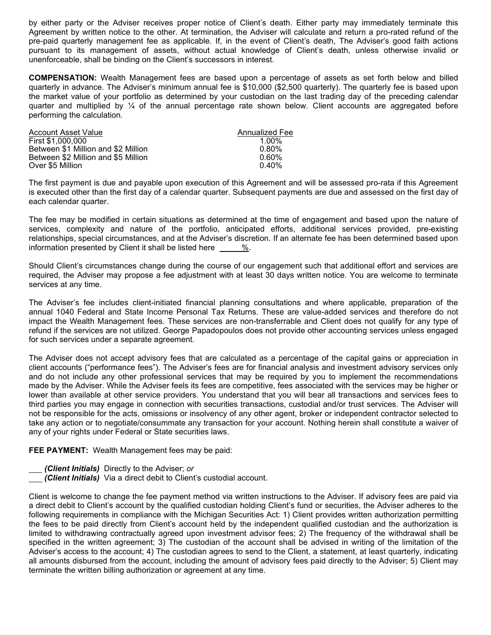by either party or the Adviser receives proper notice of Client's death. Either party may immediately terminate this Agreement by written notice to the other. At termination, the Adviser will calculate and return a pro-rated refund of the pre-paid quarterly management fee as applicable. If, in the event of Client's death, The Adviser's good faith actions pursuant to its management of assets, without actual knowledge of Client's death, unless otherwise invalid or unenforceable, shall be binding on the Client's successors in interest.

**COMPENSATION:** Wealth Management fees are based upon a percentage of assets as set forth below and billed quarterly in advance. The Adviser's minimum annual fee is \$10,000 (\$2,500 quarterly). The quarterly fee is based upon the market value of your portfolio as determined by your custodian on the last trading day of the preceding calendar quarter and multiplied by ¼ of the annual percentage rate shown below. Client accounts are aggregated before performing the calculation.

| Account Asset Value                 | Annualized Fee |
|-------------------------------------|----------------|
| First \$1,000,000                   | $1.00\%$       |
| Between \$1 Million and \$2 Million | $0.80\%$       |
| Between \$2 Million and \$5 Million | 0.60%          |
| Over \$5 Million                    | $0.40\%$       |

The first payment is due and payable upon execution of this Agreement and will be assessed pro-rata if this Agreement is executed other than the first day of a calendar quarter. Subsequent payments are due and assessed on the first day of each calendar quarter.

The fee may be modified in certain situations as determined at the time of engagement and based upon the nature of services, complexity and nature of the portfolio, anticipated efforts, additional services provided, pre-existing relationships, special circumstances, and at the Adviser's discretion. If an alternate fee has been determined based upon information presented by Client it shall be listed here  $\frac{\%}{\%}$ .

Should Client's circumstances change during the course of our engagement such that additional effort and services are required, the Adviser may propose a fee adjustment with at least 30 days written notice. You are welcome to terminate services at any time.

The Adviser's fee includes client-initiated financial planning consultations and where applicable, preparation of the annual 1040 Federal and State Income Personal Tax Returns. These are value-added services and therefore do not impact the Wealth Management fees. These services are non-transferrable and Client does not qualify for any type of refund if the services are not utilized. George Papadopoulos does not provide other accounting services unless engaged for such services under a separate agreement.

The Adviser does not accept advisory fees that are calculated as a percentage of the capital gains or appreciation in client accounts ("performance fees"). The Adviser's fees are for financial analysis and investment advisory services only and do not include any other professional services that may be required by you to implement the recommendations made by the Adviser. While the Adviser feels its fees are competitive, fees associated with the services may be higher or lower than available at other service providers. You understand that you will bear all transactions and services fees to third parties you may engage in connection with securities transactions, custodial and/or trust services. The Adviser will not be responsible for the acts, omissions or insolvency of any other agent, broker or independent contractor selected to take any action or to negotiate/consummate any transaction for your account. Nothing herein shall constitute a waiver of any of your rights under Federal or State securities laws.

**FEE PAYMENT:** Wealth Management fees may be paid:

- *(Client Initials)* Directly to the Adviser; *or*
- *(Client Initials)* Via a direct debit to Client's custodial account.

Client is welcome to change the fee payment method via written instructions to the Adviser. If advisory fees are paid via a direct debit to Client's account by the qualified custodian holding Client's fund or securities, the Adviser adheres to the following requirements in compliance with the Michigan Securities Act: 1) Client provides written authorization permitting the fees to be paid directly from Client's account held by the independent qualified custodian and the authorization is limited to withdrawing contractually agreed upon investment advisor fees; 2) The frequency of the withdrawal shall be specified in the written agreement; 3) The custodian of the account shall be advised in writing of the limitation of the Adviser's access to the account; 4) The custodian agrees to send to the Client, a statement, at least quarterly, indicating all amounts disbursed from the account, including the amount of advisory fees paid directly to the Adviser; 5) Client may terminate the written billing authorization or agreement at any time.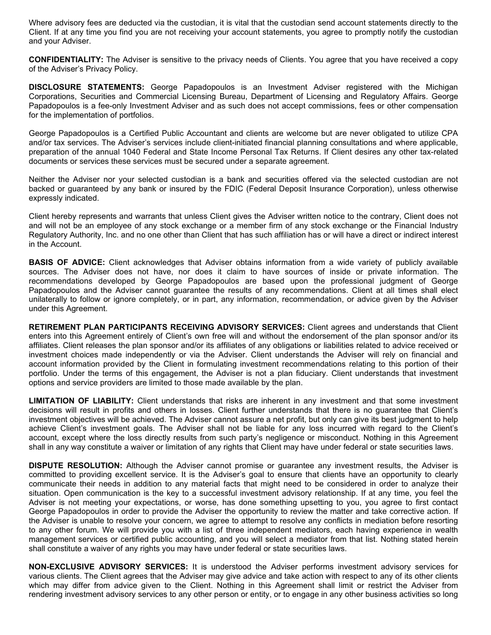Where advisory fees are deducted via the custodian, it is vital that the custodian send account statements directly to the Client. If at any time you find you are not receiving your account statements, you agree to promptly notify the custodian and your Adviser.

**CONFIDENTIALITY:** The Adviser is sensitive to the privacy needs of Clients. You agree that you have received a copy of the Adviser's Privacy Policy.

**DISCLOSURE STATEMENTS:** George Papadopoulos is an Investment Adviser registered with the Michigan Corporations, Securities and Commercial Licensing Bureau, Department of Licensing and Regulatory Affairs. George Papadopoulos is a fee-only Investment Adviser and as such does not accept commissions, fees or other compensation for the implementation of portfolios.

George Papadopoulos is a Certified Public Accountant and clients are welcome but are never obligated to utilize CPA and/or tax services. The Adviser's services include client-initiated financial planning consultations and where applicable, preparation of the annual 1040 Federal and State Income Personal Tax Returns. If Client desires any other tax-related documents or services these services must be secured under a separate agreement.

Neither the Adviser nor your selected custodian is a bank and securities offered via the selected custodian are not backed or guaranteed by any bank or insured by the FDIC (Federal Deposit Insurance Corporation), unless otherwise expressly indicated.

Client hereby represents and warrants that unless Client gives the Adviser written notice to the contrary, Client does not and will not be an employee of any stock exchange or a member firm of any stock exchange or the Financial Industry Regulatory Authority, Inc. and no one other than Client that has such affiliation has or will have a direct or indirect interest in the Account.

**BASIS OF ADVICE:** Client acknowledges that Adviser obtains information from a wide variety of publicly available sources. The Adviser does not have, nor does it claim to have sources of inside or private information. The recommendations developed by George Papadopoulos are based upon the professional judgment of George Papadopoulos and the Adviser cannot guarantee the results of any recommendations. Client at all times shall elect unilaterally to follow or ignore completely, or in part, any information, recommendation, or advice given by the Adviser under this Agreement.

**RETIREMENT PLAN PARTICIPANTS RECEIVING ADVISORY SERVICES:** Client agrees and understands that Client enters into this Agreement entirely of Client's own free will and without the endorsement of the plan sponsor and/or its affiliates. Client releases the plan sponsor and/or its affiliates of any obligations or liabilities related to advice received or investment choices made independently or via the Adviser. Client understands the Adviser will rely on financial and account information provided by the Client in formulating investment recommendations relating to this portion of their portfolio. Under the terms of this engagement, the Adviser is not a plan fiduciary. Client understands that investment options and service providers are limited to those made available by the plan.

**LIMITATION OF LIABILITY:** Client understands that risks are inherent in any investment and that some investment decisions will result in profits and others in losses. Client further understands that there is no guarantee that Client's investment objectives will be achieved. The Adviser cannot assure a net profit, but only can give its best judgment to help achieve Client's investment goals. The Adviser shall not be liable for any loss incurred with regard to the Client's account, except where the loss directly results from such party's negligence or misconduct. Nothing in this Agreement shall in any way constitute a waiver or limitation of any rights that Client may have under federal or state securities laws.

**DISPUTE RESOLUTION:** Although the Adviser cannot promise or guarantee any investment results, the Adviser is committed to providing excellent service. It is the Adviser's goal to ensure that clients have an opportunity to clearly communicate their needs in addition to any material facts that might need to be considered in order to analyze their situation. Open communication is the key to a successful investment advisory relationship. If at any time, you feel the Adviser is not meeting your expectations, or worse, has done something upsetting to you, you agree to first contact George Papadopoulos in order to provide the Adviser the opportunity to review the matter and take corrective action. If the Adviser is unable to resolve your concern, we agree to attempt to resolve any conflicts in mediation before resorting to any other forum. We will provide you with a list of three independent mediators, each having experience in wealth management services or certified public accounting, and you will select a mediator from that list. Nothing stated herein shall constitute a waiver of any rights you may have under federal or state securities laws.

**NON-EXCLUSIVE ADVISORY SERVICES:** It is understood the Adviser performs investment advisory services for various clients. The Client agrees that the Adviser may give advice and take action with respect to any of its other clients which may differ from advice given to the Client. Nothing in this Agreement shall limit or restrict the Adviser from rendering investment advisory services to any other person or entity, or to engage in any other business activities so long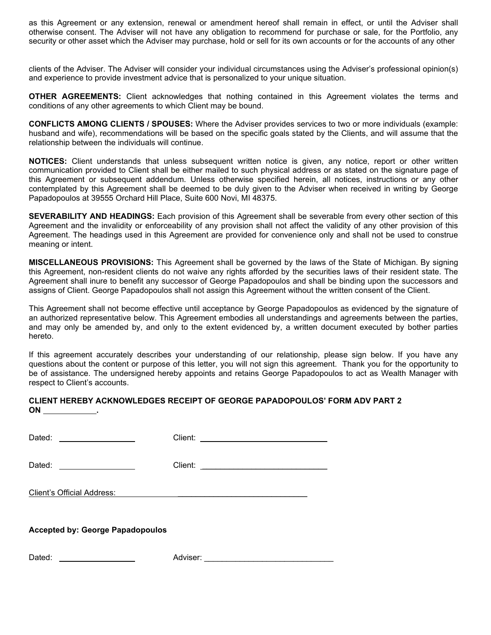as this Agreement or any extension, renewal or amendment hereof shall remain in effect, or until the Adviser shall otherwise consent. The Adviser will not have any obligation to recommend for purchase or sale, for the Portfolio, any security or other asset which the Adviser may purchase, hold or sell for its own accounts or for the accounts of any other

clients of the Adviser. The Adviser will consider your individual circumstances using the Adviser's professional opinion(s) and experience to provide investment advice that is personalized to your unique situation.

**OTHER AGREEMENTS:** Client acknowledges that nothing contained in this Agreement violates the terms and conditions of any other agreements to which Client may be bound.

**CONFLICTS AMONG CLIENTS / SPOUSES:** Where the Adviser provides services to two or more individuals (example: husband and wife), recommendations will be based on the specific goals stated by the Clients, and will assume that the relationship between the individuals will continue.

**NOTICES:** Client understands that unless subsequent written notice is given, any notice, report or other written communication provided to Client shall be either mailed to such physical address or as stated on the signature page of this Agreement or subsequent addendum. Unless otherwise specified herein, all notices, instructions or any other contemplated by this Agreement shall be deemed to be duly given to the Adviser when received in writing by George Papadopoulos at 39555 Orchard Hill Place, Suite 600 Novi, MI 48375.

**SEVERABILITY AND HEADINGS:** Each provision of this Agreement shall be severable from every other section of this Agreement and the invalidity or enforceability of any provision shall not affect the validity of any other provision of this Agreement. The headings used in this Agreement are provided for convenience only and shall not be used to construe meaning or intent.

**MISCELLANEOUS PROVISIONS:** This Agreement shall be governed by the laws of the State of Michigan. By signing this Agreement, non-resident clients do not waive any rights afforded by the securities laws of their resident state. The Agreement shall inure to benefit any successor of George Papadopoulos and shall be binding upon the successors and assigns of Client. George Papadopoulos shall not assign this Agreement without the written consent of the Client.

This Agreement shall not become effective until acceptance by George Papadopoulos as evidenced by the signature of an authorized representative below. This Agreement embodies all understandings and agreements between the parties, and may only be amended by, and only to the extent evidenced by, a written document executed by bother parties hereto.

If this agreement accurately describes your understanding of our relationship, please sign below. If you have any questions about the content or purpose of this letter, you will not sign this agreement. Thank you for the opportunity to be of assistance. The undersigned hereby appoints and retains George Papadopoulos to act as Wealth Manager with respect to Client's accounts.

## **CLIENT HEREBY ACKNOWLEDGES RECEIPT OF GEORGE PAPADOPOULOS' FORM ADV PART 2 ON .**

Dated: Client: \_\_\_\_\_\_\_\_\_\_\_\_\_\_\_\_\_\_\_\_\_\_\_\_\_\_\_\_

Dated: Client: \_\_\_\_\_\_\_\_\_\_\_\_\_\_\_\_\_\_\_\_\_\_\_\_\_\_\_\_

Client's Official Address:

## **Accepted by: George Papadopoulos**

Dated: Adviser: \_\_\_\_\_\_\_\_\_\_\_\_\_\_\_\_\_\_\_\_\_\_\_\_\_\_\_\_\_